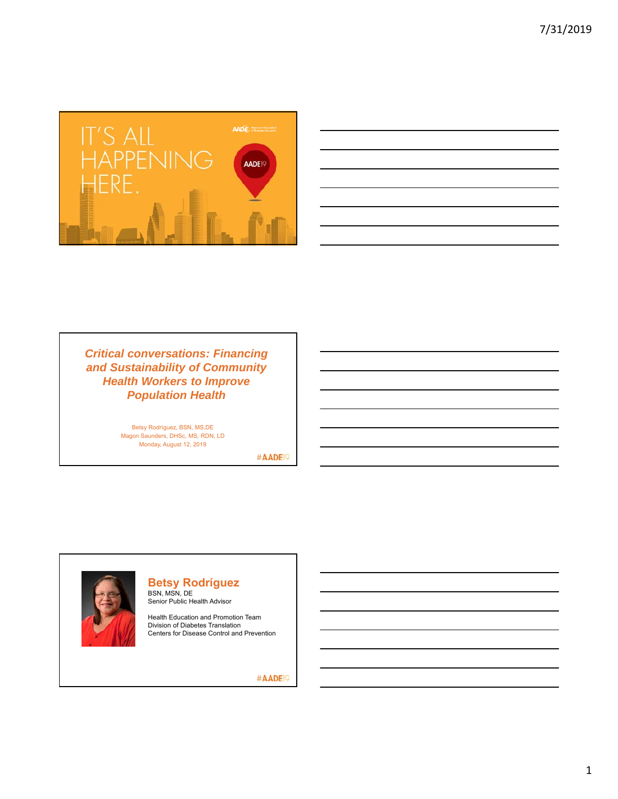

| ,我们也不会有一个人的事情。""我们的人们,我们也不会有一个人的人,我们也不会有一个人的人,我们也不会有一个人的人,我们也不会有一个人的人,我们也不会有一个人的<br>第一百一章 一个人的人,我们的人们的人们,我们的人们的人们,我们的人们的人们,我们的人们的人们,我们的人们的人们,我们的人们的人们,我们的人们的人们,我们的人们                                                                 |  |          |
|--------------------------------------------------------------------------------------------------------------------------------------------------------------------------------------------------------------------------------------|--|----------|
|                                                                                                                                                                                                                                      |  |          |
|                                                                                                                                                                                                                                      |  |          |
| <u>a sa salawan sa sana sa sana sa sana sa sana sa sana sa sana sa sana sa sana sa sana sa sana sa sana sa sana s</u>                                                                                                                |  | ________ |
|                                                                                                                                                                                                                                      |  |          |
| <u>. In the case of the case of the case of the case of the case of the case of the case of the case of the case of the case of the case of the case of the case of the case of the case of the case of the case of the case of </u> |  |          |
| <u> Andreas Andreas Andreas Andreas Andreas Andreas Andreas Andreas Andreas Andreas Andreas Andreas Andreas Andr</u>                                                                                                                 |  |          |
|                                                                                                                                                                                                                                      |  |          |
|                                                                                                                                                                                                                                      |  |          |
| the control of the control of the control of the control of the control of the control of the control of the control of the control of the control of the control of the control of the control of the control of the control        |  |          |

*Critical conversations: Financing and Sustainability of Community Health Workers to Improve Population Health*

> Betsy Rodríguez, BSN, MS,DE Magon Saunders, DHSc, MS, RDN, LD Monday, August 12, 2019

> > #AADE<sup>19</sup>



**Betsy Rodríguez** BSN, MSN, DE Senior Public Health Advisor

Health Education and Promotion Team Division of Diabetes Translation Centers for Disease Control and Prevention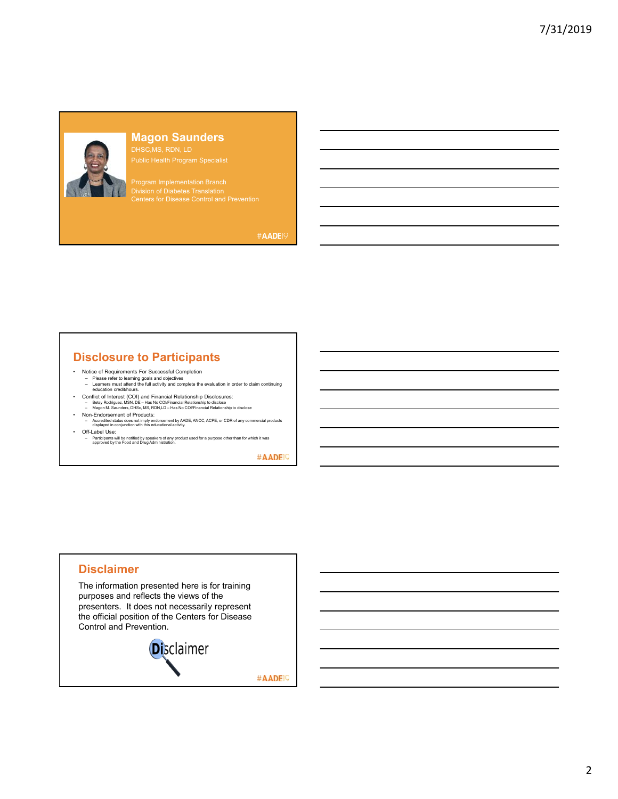

## **Magon Saunders**

Program Implementation Branch Division of Diabetes Translation Centers for Disease Control and Prevention

#AADE<sup>19</sup>

## **Disclosure to Participants**

- 
- Notice of Requirements For Successful Completion Please refer to learning goals and objectives Learners must attend the full activity and complete the evaluation in order to claim continuing education credit/hours.
- Conflict of Interest (COI) and Financial Relationship Disclosures:<br>- Betsy Rodriguez, MSN, DE Has No CO/Financial Relationship to disclose<br>- Magon M. Saunders, DHSc, MS, RDN,LD Has No CO//Financial Relationship to d
- 
- Non-Endorsement of Products: Accredited status does not imply endorsement by AADE, ANCC, ACPE, or CDR of any commercial products displayed in conjunction with this educational activity. • Off-Label Use:
- Participants will be notified by speakers of any product used for a purpose other than for which it was approved by the Food and Drug Administration.

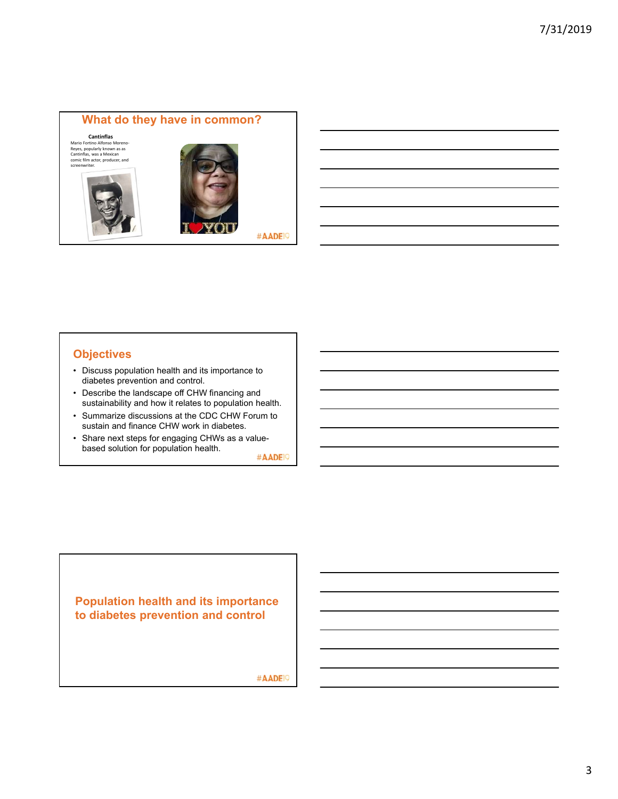## **What do they have in common?**

**Cantinflas**<br>
Mario Fortino Alfonso Moreno-<br>
Reyes, popularly known as as<br>
Cantinflas, was a Mexican<br>
comic film actor, producer, and<br>
screenwriter.





#### #AADE<sup>19</sup>

#### **Objectives**

- Discuss population health and its importance to diabetes prevention and control.
- Describe the landscape off CHW financing and sustainability and how it relates to population health.
- Summarize discussions at the CDC CHW Forum to sustain and finance CHW work in diabetes.
- Share next steps for engaging CHWs as a valuebased solution for population health.

#AADE<sup>19</sup>

**Population health and its importance to diabetes prevention and control**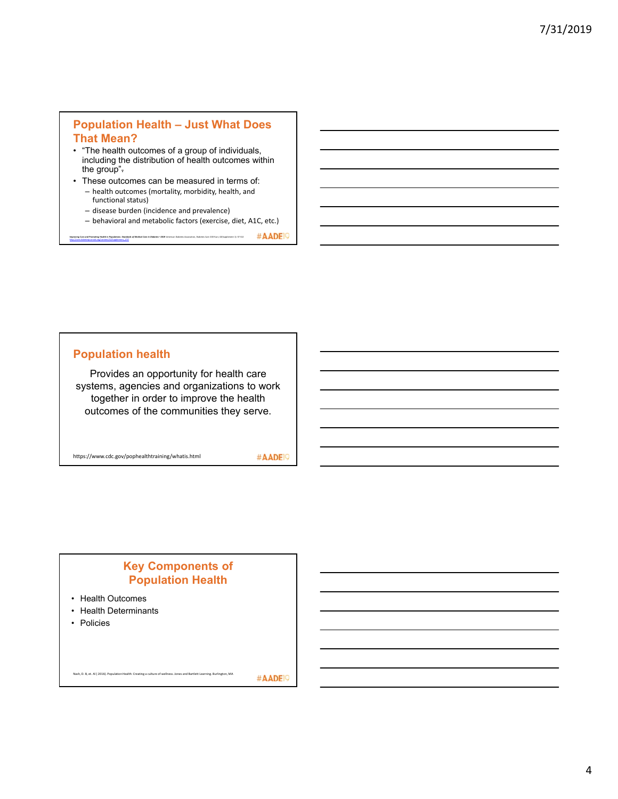### **Population Health – Just What Does That Mean?**

- "The health outcomes of a group of individuals, including the distribution of health outcomes within the group".
- These outcomes can be measured in terms of: – health outcomes (mortality, morbidity, health, and functional status)
	- disease burden (incidence and prevalence)
	- behavioral and metabolic factors (exercise, diet, A1C, etc.)

#AADE<sup>19</sup> **Improving Care and Promoting Health in Populations:** *Standards of Medical Care in Diabetes—2019* American Diabetes Association, Diabetes Care 2019 Jan; 42(Supplement 1): S7‐S12

### **Population health**

http://care.diabetesjournals.org/content/42/Supplement\_1/S7

Provides an opportunity for health care systems, agencies and organizations to work together in order to improve the health outcomes of the communities they serve.

https://www.cdc.gov/pophealthtraining/whatis.html

#AADE<sup>19</sup>

#### **Key Components of Population Health**

Nash, D. B, et. Al ( 2016). Population Health: Creating a culture of wellness. Jones and Bartlett Learning. Burlington, MA

- Health Outcomes
- Health Determinants
- Policies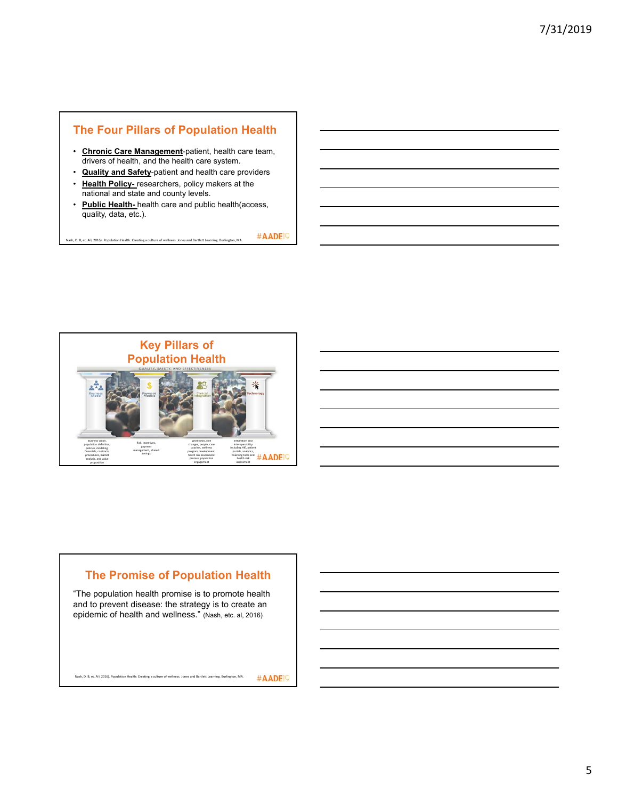#### **The Four Pillars of Population Health**

- **Chronic Care Management**-patient, health care team, drivers of health, and the health care system.
- **Quality and Safety**-patient and health care providers
- **Health Policy-** researchers, policy makers at the national and state and county levels.

Nash, D. B, et. Al (2016). Population Health: Creating a culture of wellness. Jones and Bartlett Learning. Burlington, M.

• **Public Health-** health care and public health(access, quality, data, etc.).

#AADE<sup>19</sup>



### **The Promise of Population Health**

"The population health promise is to promote health and to prevent disease: the strategy is to create an epidemic of health and wellness." (Nash, etc. al, 2016)

Nash, D. B, et. Al ( 2016). Population Health: Creating a culture of wellness. Jones and Bartlett Learning. Burlington, MA.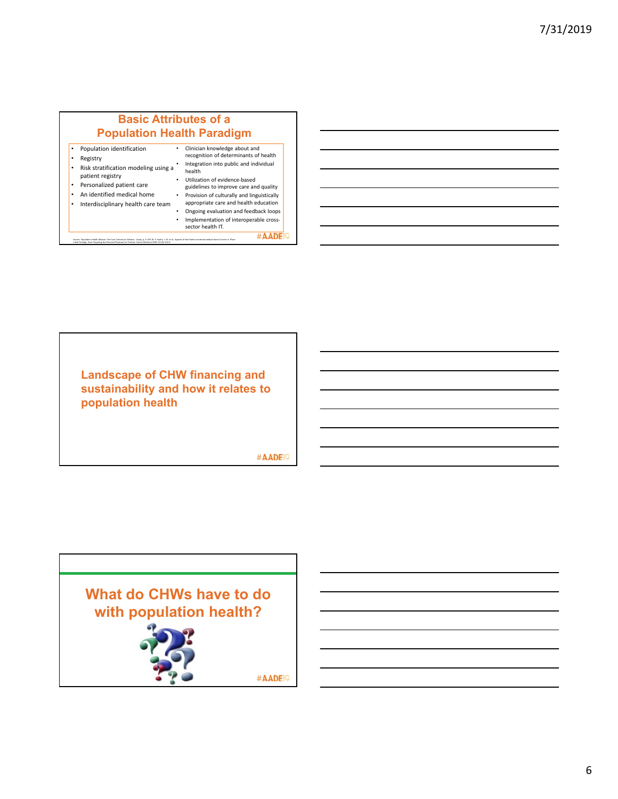

**Landscape of CHW financing and sustainability and how it relates to population health**

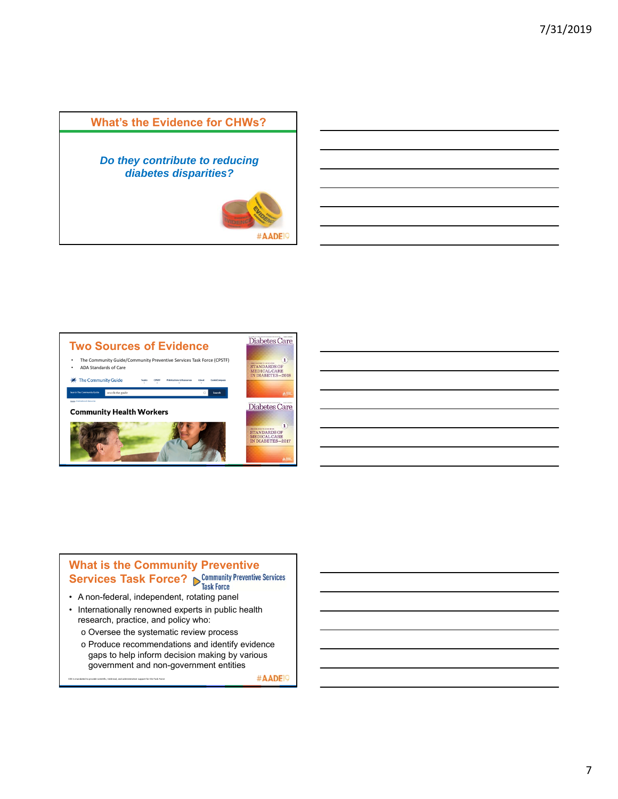### **What's the Evidence for CHWs?**

*Do they contribute to reducing diabetes disparities?*





# **What is the Community Preventive Services Task Force?**  $\sum_{\text{Task Force}}^{\text{Community Preventive Services}}$

- A non-federal, independent, rotating panel
- Internationally renowned experts in public health research, practice, and policy who:
	- o Oversee the systematic review process

CDC is mandated to provide scientific, technical, and administrative support for the Task Force

o Produce recommendations and identify evidence gaps to help inform decision making by various government and non-government entities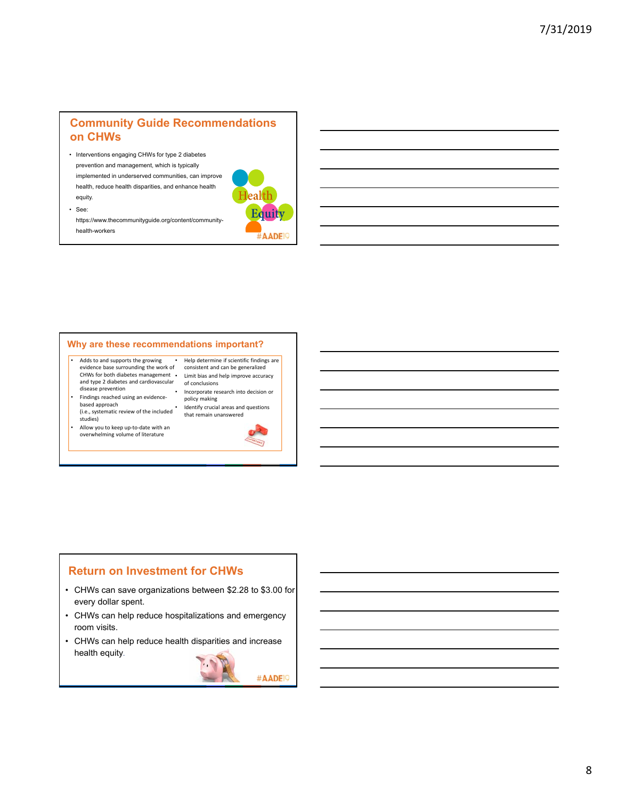## **Community Guide Recommendations on CHWs**

- Interventions engaging CHWs for type 2 diabetes prevention and management, which is typically implemented in underserved communities, can improve health, reduce health disparities, and enhance health equity.
- See: https://www.thecommunityguide.org/content/communityhealth-workers



#### **Why are these recommendations important?**

- Adds to and supports the growing evidence base surrounding the work of consistent and can be generalized CHWs for both diabetes management • Limit bias and help improve accuracy<br>and type 2 diabetes and cardiovascular bof conclusions disease prevention • Help determine if scientific findings are
- Findings reached using an evidence-<br>based approach based approach<br>(i.e., systematic review of the included that remain unanswered<br>studies)
- 
- Allow you to keep up‐to‐date with an overwhelming volume of literature
- Incorporate research into decision or policy making
- Identify crucial areas and questions



#### **Return on Investment for CHWs**

- CHWs can save organizations between \$2.28 to \$3.00 for every dollar spent.
- CHWs can help reduce hospitalizations and emergency room visits.
- CHWs can help reduce health disparities and increase health equity.

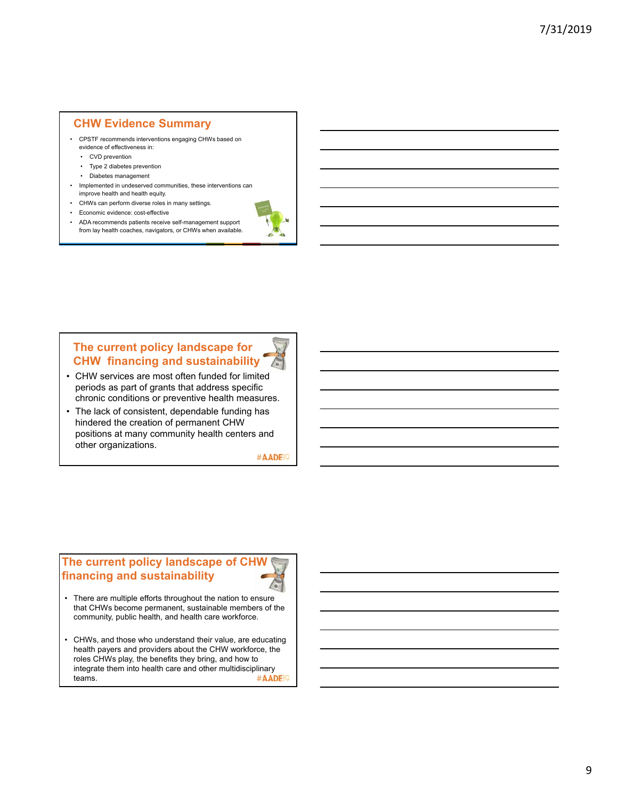#### **CHW Evidence Summary**

- CPSTF recommends interventions engaging CHWs based on evidence of effectiveness in:
	- CVD prevention
	- Type 2 diabetes prevention
	- Diabetes management
- Implemented in undeserved communities, these interventions can improve health and health equity.
- CHWs can perform diverse roles in many settings.
- Economic evidence: cost-effective
- ADA recommends patients receive self-management support from lay health coaches, navigators, or CHWs when available.



#### **The current policy landscape for CHW financing and sustainability**

- CHW services are most often funded for limited periods as part of grants that address specific
- chronic conditions or preventive health measures.
- The lack of consistent, dependable funding has hindered the creation of permanent CHW positions at many community health centers and other organizations.

#AADE<sup>19</sup>

## **The current policy landscape of CHW financing and sustainability**



- There are multiple efforts throughout the nation to ensure that CHWs become permanent, sustainable members of the community, public health, and health care workforce.
- CHWs, and those who understand their value, are educating health payers and providers about the CHW workforce, the roles CHWs play, the benefits they bring, and how to integrate them into health care and other multidisciplinary teams.#AADE<sup>19</sup>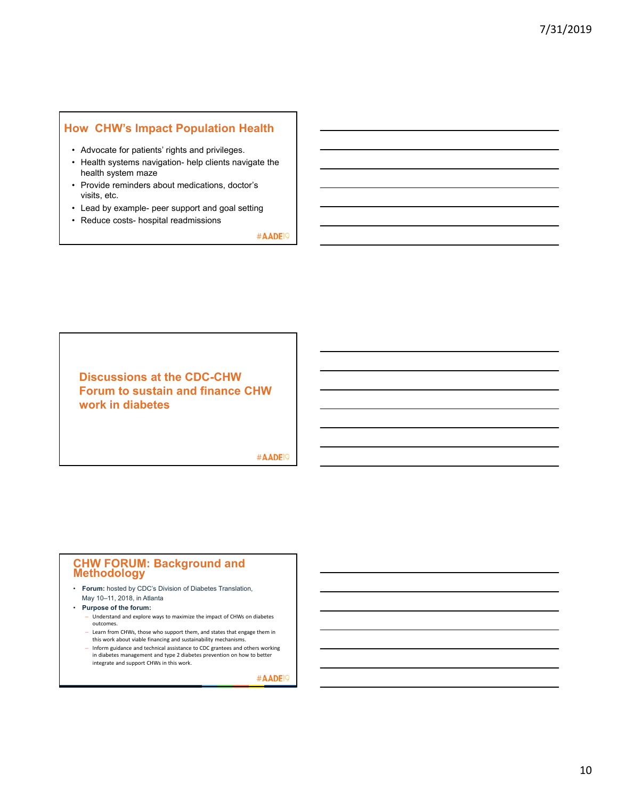#### **How CHW's Impact Population Health**

- Advocate for patients' rights and privileges.
- Health systems navigation- help clients navigate the health system maze
- Provide reminders about medications, doctor's visits, etc.
- Lead by example- peer support and goal setting
- Reduce costs- hospital readmissions

#AADE<sup>19</sup>

#### **Discussions at the CDC-CHW Forum to sustain and finance CHW work in diabetes**

#AADE<sup>19</sup>

#### **CHW FORUM: Background and Methodology**

- **Forum:** hosted by CDC's Division of Diabetes Translation, May 10–11, 2018, in Atlanta
- **Purpose of the forum:**
	- Understand and explore ways to maximize the impact of CHWs on diabetes outcomes.
	- Learn from CHWs, those who support them, and states that engage them in this work about viable financing and sustainability mechanisms.
	- Inform guidance and technical assistance to CDC grantees and others working in diabetes management and type 2 diabetes prevention on how to better integrate and support CHWs in this work.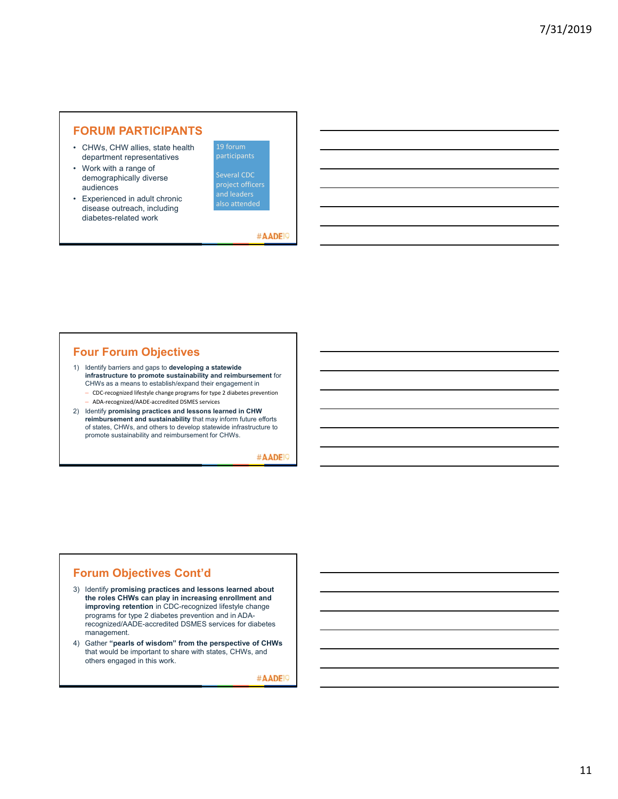#### **FORUM PARTICIPANTS**

- CHWs, CHW allies, state health department representatives
- Work with a range of demographically diverse audiences
- Experienced in adult chronic disease outreach, including diabetes-related work

| 19 forum         |
|------------------|
| participants     |
|                  |
| Several CDC      |
| project officers |
| and leaders      |
| also attended    |
|                  |

#AADE<sup>19</sup>

#### **Four Forum Objectives**

- 1) Identify barriers and gaps to **developing a statewide infrastructure to promote sustainability and reimbursement** for CHWs as a means to establish/expand their engagement in – CDC‐recognized lifestyle change programs for type 2 diabetes prevention
	- ADA‐recognized/AADE‐accredited DSMES services
- 2) Identify **promising practices and lessons learned in CHW reimbursement and sustainability** that may inform future efforts of states, CHWs, and others to develop statewide infrastructure to promote sustainability and reimbursement for CHWs.

#AADE<sup>19</sup>

#### **Forum Objectives Cont'd**

- 3) Identify **promising practices and lessons learned about the roles CHWs can play in increasing enrollment and improving retention** in CDC-recognized lifestyle change programs for type 2 diabetes prevention and in ADArecognized/AADE-accredited DSMES services for diabetes management.
- 4) Gather **"pearls of wisdom" from the perspective of CHWs** that would be important to share with states, CHWs, and others engaged in this work.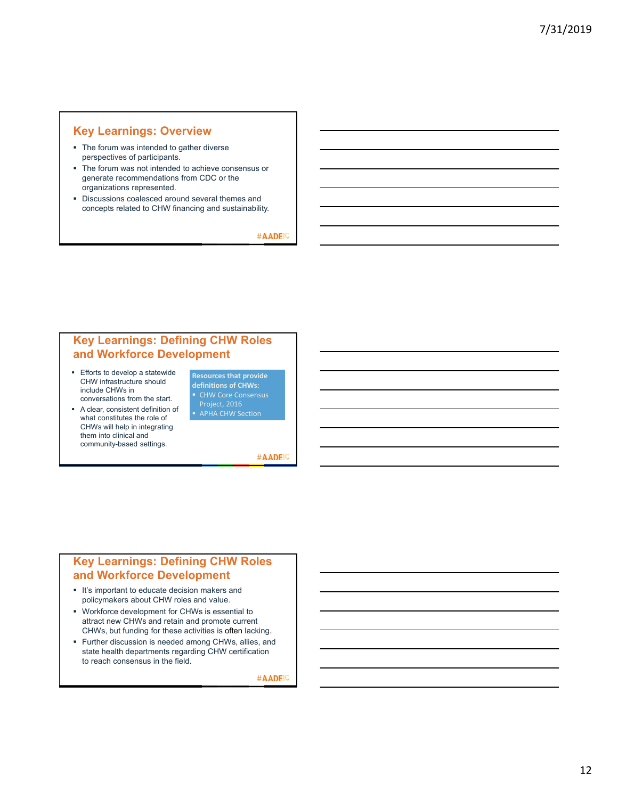### **Key Learnings: Overview**

- The forum was intended to gather diverse perspectives of participants.
- The forum was not intended to achieve consensus or generate recommendations from CDC or the organizations represented.
- Discussions coalesced around several themes and concepts related to CHW financing and sustainability.

#AADE<sup>19</sup>

#### **Key Learnings: Defining CHW Roles and Workforce Development**

- **Efforts to develop a statewide** CHW infrastructure should include CHWs in conversations from the start.
- A clear, consistent definition of what constitutes the role of CHWs will help in integrating them into clinical and community-based settings.
- **Resources that provide definitions of CHWs:** Project, 2016
- **APHA CHW Section**

#AADE<sup>19</sup>

### **Key Learnings: Defining CHW Roles and Workforce Development**

- It's important to educate decision makers and policymakers about CHW roles and value.
- Workforce development for CHWs is essential to attract new CHWs and retain and promote current CHWs, but funding for these activities is often lacking.
- Further discussion is needed among CHWs, allies, and state health departments regarding CHW certification to reach consensus in the field.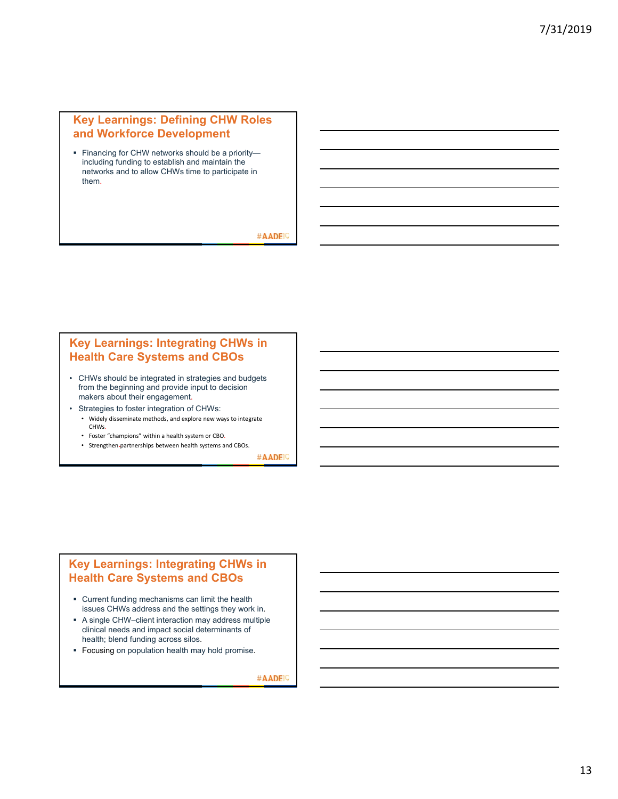### **Key Learnings: Defining CHW Roles and Workforce Development**

**Financing for CHW networks should be a priority**including funding to establish and maintain the networks and to allow CHWs time to participate in them.

#AADE<sup>19</sup>

#### **Key Learnings: Integrating CHWs in Health Care Systems and CBOs**

- CHWs should be integrated in strategies and budgets from the beginning and provide input to decision makers about their engagement.
- Strategies to foster integration of CHWs:
	- Widely disseminate methods, and explore new ways to integrate CHWs.
	- Foster "champions" within a health system or CBO.
	- Strengthen partnerships between health systems and CBOs.

#AADE<sup>19</sup>

#### **Key Learnings: Integrating CHWs in Health Care Systems and CBOs**

- Current funding mechanisms can limit the health issues CHWs address and the settings they work in.
- A single CHW–client interaction may address multiple clinical needs and impact social determinants of health; blend funding across silos.
- **Focusing on population health may hold promise.**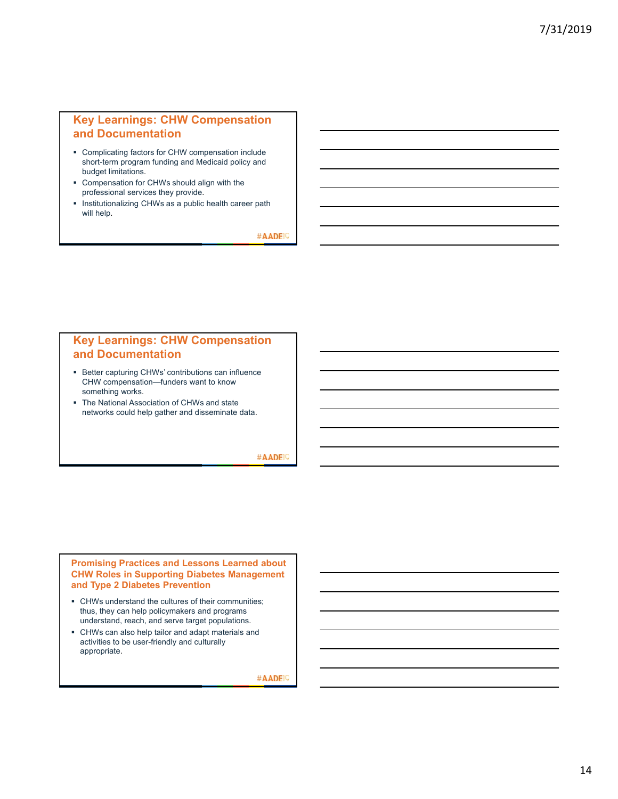### **Key Learnings: CHW Compensation and Documentation**

- Complicating factors for CHW compensation include short-term program funding and Medicaid policy and budget limitations.
- Compensation for CHWs should align with the professional services they provide.
- **Institutionalizing CHWs as a public health career path** will help.

#AADE<sup>19</sup>

#### **Key Learnings: CHW Compensation and Documentation**

- **Better capturing CHWs' contributions can influence** CHW compensation—funders want to know something works.
- The National Association of CHWs and state networks could help gather and disseminate data.

#AADE<sup>19</sup>

#### **Promising Practices and Lessons Learned about CHW Roles in Supporting Diabetes Management and Type 2 Diabetes Prevention**

- CHWs understand the cultures of their communities; thus, they can help policymakers and programs understand, reach, and serve target populations.
- CHWs can also help tailor and adapt materials and activities to be user-friendly and culturally appropriate.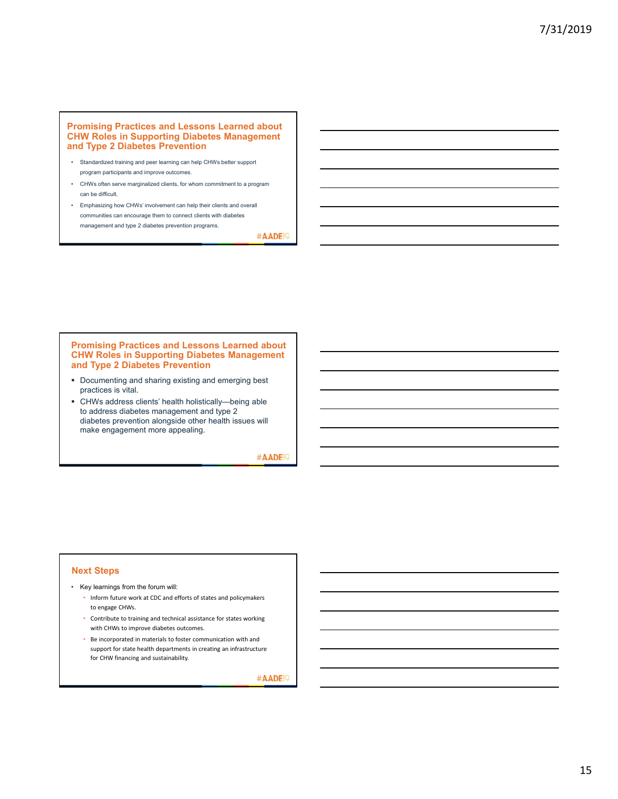#### **Promising Practices and Lessons Learned about CHW Roles in Supporting Diabetes Management and Type 2 Diabetes Prevention**

- Standardized training and peer learning can help CHWs better support program participants and improve outcomes.
- CHWs often serve marginalized clients, for whom commitment to a program can be difficult.
- Emphasizing how CHWs' involvement can help their clients and overall communities can encourage them to connect clients with diabetes management and type 2 diabetes prevention programs .

#AADE<sup>19</sup>

#### **Promising Practices and Lessons Learned about CHW Roles in Supporting Diabetes Management and Type 2 Diabetes Prevention**

- Documenting and sharing existing and emerging best practices is vital.
- CHWs address clients' health holistically—being able to address diabetes management and type 2 diabetes prevention alongside other health issues will make engagement more appealing.

#AADE<sup>19</sup>

#### **Next Steps**

- Key learnings from the forum will:
	- Inform future work at CDC and efforts of states and policymakers to engage CHWs.
	- Contribute to training and technical assistance for states working with CHWs to improve diabetes outcomes.
	- Be incorporated in materials to foster communication with and support for state health departments in creating an infrastructure for CHW financing and sustainability.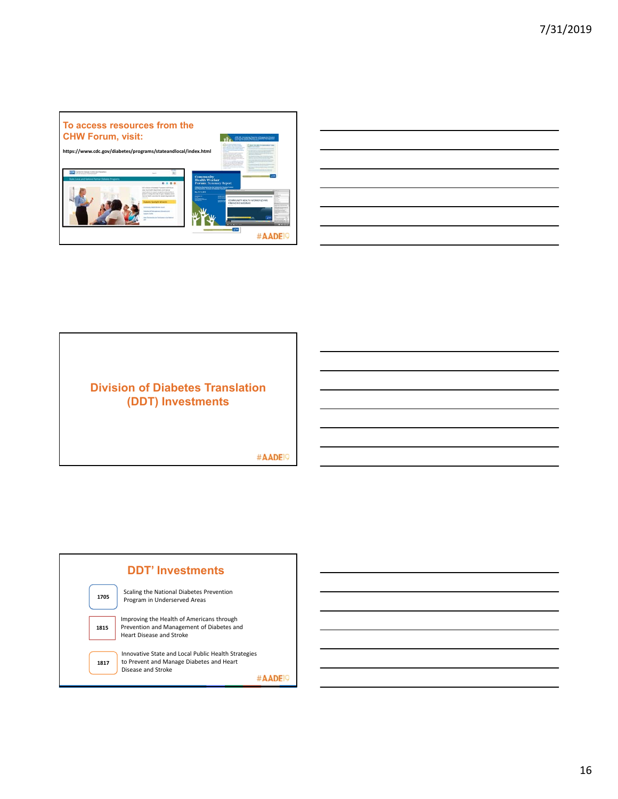

|  |                                                                                                                      |  | ______ |
|--|----------------------------------------------------------------------------------------------------------------------|--|--------|
|  |                                                                                                                      |  |        |
|  |                                                                                                                      |  |        |
|  |                                                                                                                      |  |        |
|  | <u> 1989 - Andrea Santa Andrea Andrea Andrea Andrea Andrea Andrea Andrea Andrea Andrea Andrea Andrea Andrea Andr</u> |  |        |
|  |                                                                                                                      |  |        |

## **Division of Diabetes Translation (DDT) Investments**

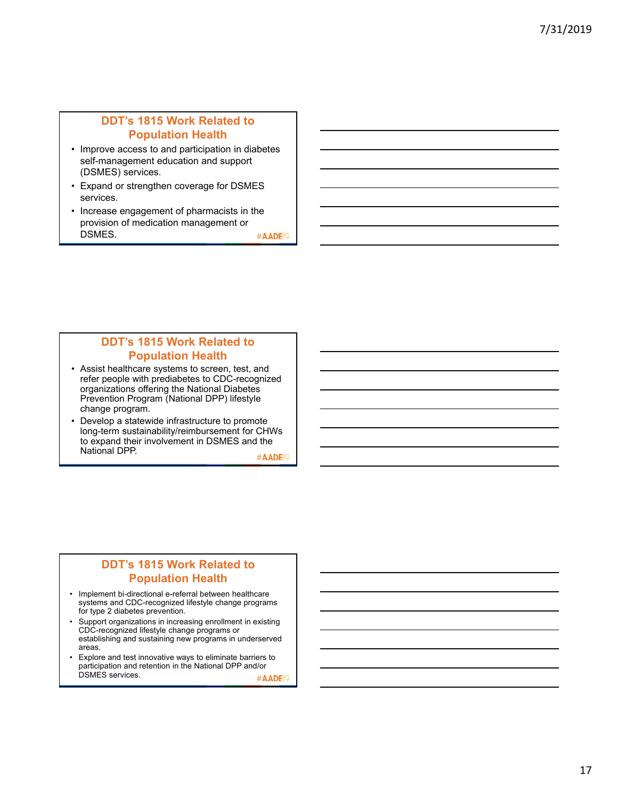#### **DDT's 1815 Work Related to Population Health**

- Improve access to and participation in diabetes self-management education and support (DSMES) services.
- Expand or strengthen coverage for DSMES services.
- Increase engagement of pharmacists in the provision of medication management or DSMES. #AADE<sup>19</sup>

#### **DDT's 1815 Work Related to Population Health**

- Assist healthcare systems to screen, test, and refer people with prediabetes to CDC-recognized organizations offering the National Diabetes Prevention Program (National DPP) lifestyle change program.
- Develop a statewide infrastructure to promote long-term sustainability/reimbursement for CHWs to expand their involvement in DSMES and the National DPP.

#AADE<sup>19</sup>

## **DDT's 1815 Work Related to Population Health**

- Implement bi-directional e-referral between healthcare systems and CDC-recognized lifestyle change programs for type 2 diabetes prevention.
- Support organizations in increasing enrollment in existing CDC-recognized lifestyle change programs or establishing and sustaining new programs in underserved areas.
- Explore and test innovative ways to eliminate barriers to participation and retention in the National DPP and/or DSMES services. #AADE<sup>19</sup>

17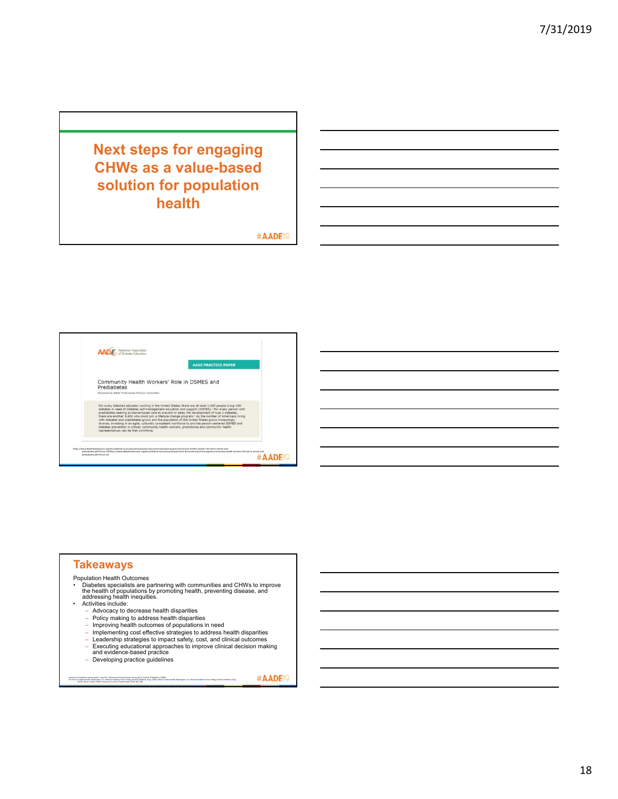# **Next steps for engaging CHWs as a value-based solution for population health**

#AADE<sup>19</sup>



#### Population Health Outcomes • Diabetes specialists are partnering with communities and CHWs to improve the health of populations by promoting health, preventing disease, and addressing health inequities. • Activities include: – Advocacy to decrease health disparities – Policy making to address health disparities – Improving health outcomes of populations in need – Implementing cost effective strategies to address health disparities – Leadership strategies to impact safety, cost, and clinical outcomes – Executing educational approaches to improve clinical decision making and evidence-based practice – Developing practice guidelines **Takeaways**

notone for Healthcare Improvement Triple Aim. Restieved from http://www.ihl.org\_2013. Institute of Medicine. (1986).<br>The future of public Netth Workington: D.C. Pusinows Archamy Free: King, Mark Stockholm, Mark Health Wash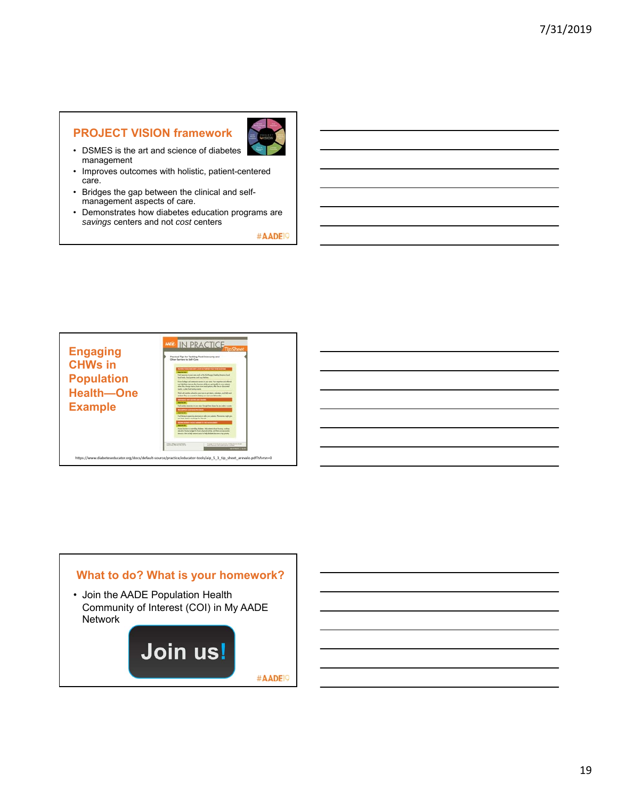## **PROJECT VISION framework**



- DSMES is the art and science of diabetes management
- Improves outcomes with holistic, patient-centered care.
- Bridges the gap between the clinical and selfmanagement aspects of care.
- Demonstrates how diabetes education programs are *savings* centers and not *cost* centers